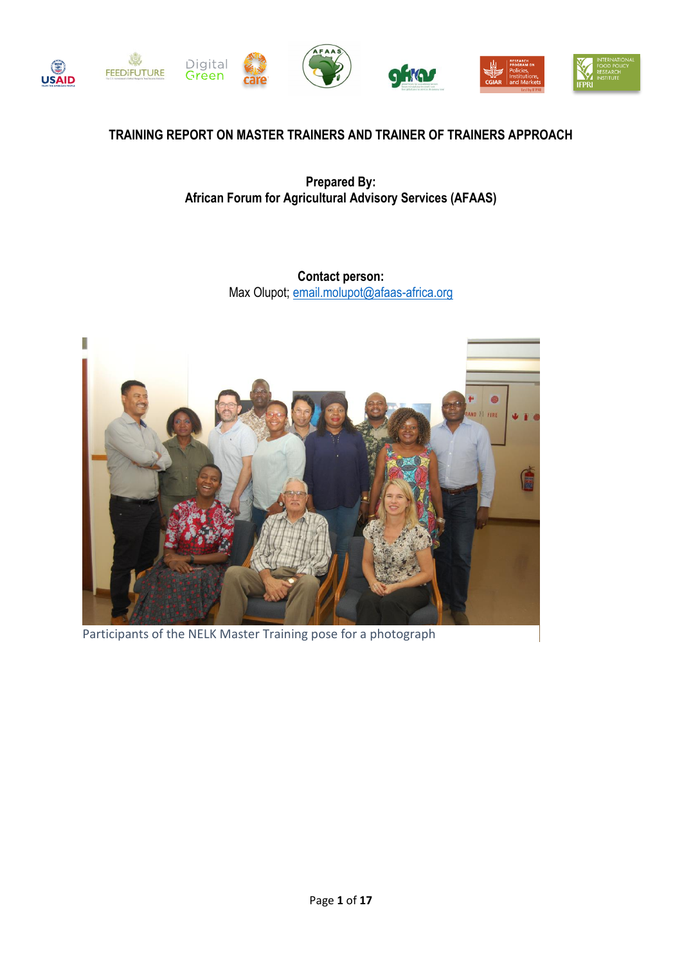

## **TRAINING REPORT ON MASTER TRAINERS AND TRAINER OF TRAINERS APPROACH**

**Prepared By: African Forum for Agricultural Advisory Services (AFAAS)**

> **Contact person:** Max Olupot[; email.molupot@afaas-africa.org](mailto:email.molupot@afaas-africa.org)



Participants of the NELK Master Training pose for a photograph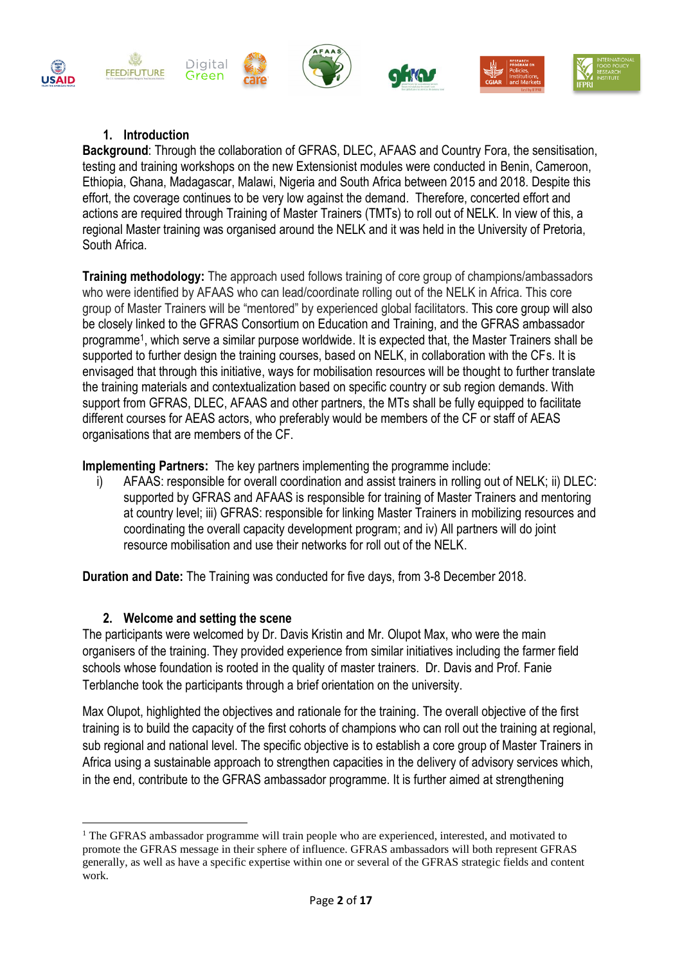

### **1. Introduction**

**Background**: Through the collaboration of GFRAS, DLEC, AFAAS and Country Fora, the sensitisation, testing and training workshops on the new Extensionist modules were conducted in Benin, Cameroon, Ethiopia, Ghana, Madagascar, Malawi, Nigeria and South Africa between 2015 and 2018. Despite this effort, the coverage continues to be very low against the demand. Therefore, concerted effort and actions are required through Training of Master Trainers (TMTs) to roll out of NELK. In view of this, a regional Master training was organised around the NELK and it was held in the University of Pretoria, South Africa.

**Training methodology:** The approach used follows training of core group of champions/ambassadors who were identified by AFAAS who can lead/coordinate rolling out of the NELK in Africa. This core group of Master Trainers will be "mentored" by experienced global facilitators. This core group will also be closely linked to the GFRAS Consortium on Education and Training, and the GFRAS ambassador programme<sup>1</sup> , which serve a similar purpose worldwide. It is expected that, the Master Trainers shall be supported to further design the training courses, based on NELK, in collaboration with the CFs. It is envisaged that through this initiative, ways for mobilisation resources will be thought to further translate the training materials and contextualization based on specific country or sub region demands. With support from GFRAS, DLEC, AFAAS and other partners, the MTs shall be fully equipped to facilitate different courses for AEAS actors, who preferably would be members of the CF or staff of AEAS organisations that are members of the CF.

**Implementing Partners:** The key partners implementing the programme include:

i) AFAAS: responsible for overall coordination and assist trainers in rolling out of NELK; ii) DLEC: supported by GFRAS and AFAAS is responsible for training of Master Trainers and mentoring at country level; iii) GFRAS: responsible for linking Master Trainers in mobilizing resources and coordinating the overall capacity development program; and iv) All partners will do joint resource mobilisation and use their networks for roll out of the NELK.

**Duration and Date:** The Training was conducted for five days, from 3-8 December 2018.

### **2. Welcome and setting the scene**

1

The participants were welcomed by Dr. Davis Kristin and Mr. Olupot Max, who were the main organisers of the training. They provided experience from similar initiatives including the farmer field schools whose foundation is rooted in the quality of master trainers. Dr. Davis and Prof. Fanie Terblanche took the participants through a brief orientation on the university.

Max Olupot, highlighted the objectives and rationale for the training. The overall objective of the first training is to build the capacity of the first cohorts of champions who can roll out the training at regional, sub regional and national level. The specific objective is to establish a core group of Master Trainers in Africa using a sustainable approach to strengthen capacities in the delivery of advisory services which, in the end, contribute to the GFRAS ambassador programme. It is further aimed at strengthening

<sup>&</sup>lt;sup>1</sup> The GFRAS ambassador programme will train people who are experienced, interested, and motivated to promote the GFRAS message in their sphere of influence. GFRAS ambassadors will both represent GFRAS generally, as well as have a specific expertise within one or several of the GFRAS strategic fields and content work.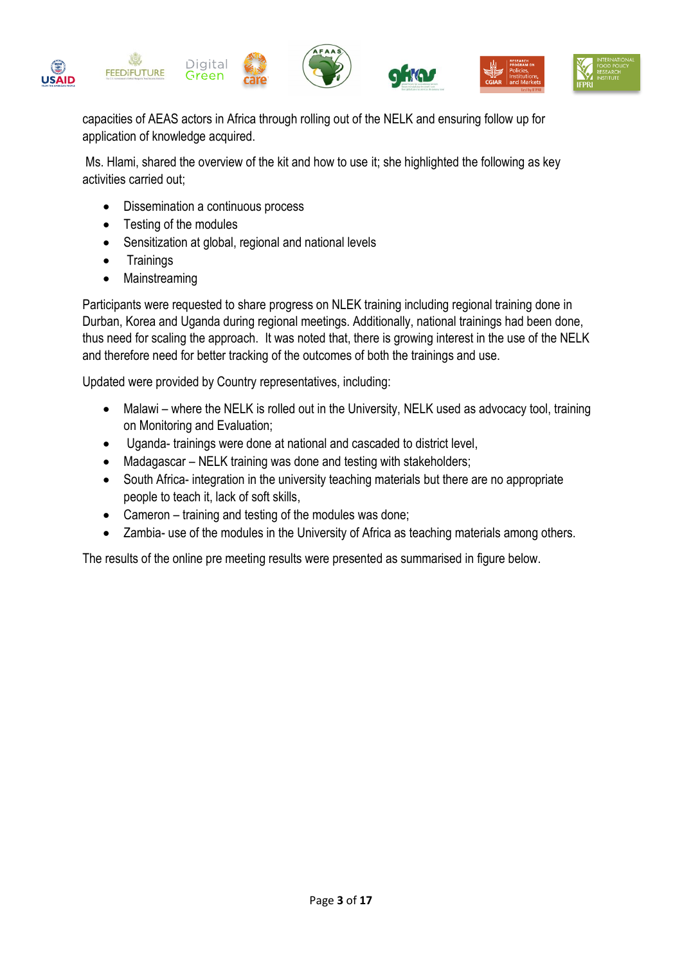

capacities of AEAS actors in Africa through rolling out of the NELK and ensuring follow up for application of knowledge acquired.

Ms. Hlami, shared the overview of the kit and how to use it; she highlighted the following as key activities carried out;

- Dissemination a continuous process
- Testing of the modules
- Sensitization at global, regional and national levels
- Trainings
- Mainstreaming

Participants were requested to share progress on NLEK training including regional training done in Durban, Korea and Uganda during regional meetings. Additionally, national trainings had been done, thus need for scaling the approach. It was noted that, there is growing interest in the use of the NELK and therefore need for better tracking of the outcomes of both the trainings and use.

Updated were provided by Country representatives, including:

- Malawi where the NELK is rolled out in the University, NELK used as advocacy tool, training on Monitoring and Evaluation;
- Uganda- trainings were done at national and cascaded to district level,
- Madagascar NELK training was done and testing with stakeholders;
- South Africa- integration in the university teaching materials but there are no appropriate people to teach it, lack of soft skills,
- Cameron training and testing of the modules was done;
- Zambia- use of the modules in the University of Africa as teaching materials among others.

The results of the online pre meeting results were presented as summarised in figure below.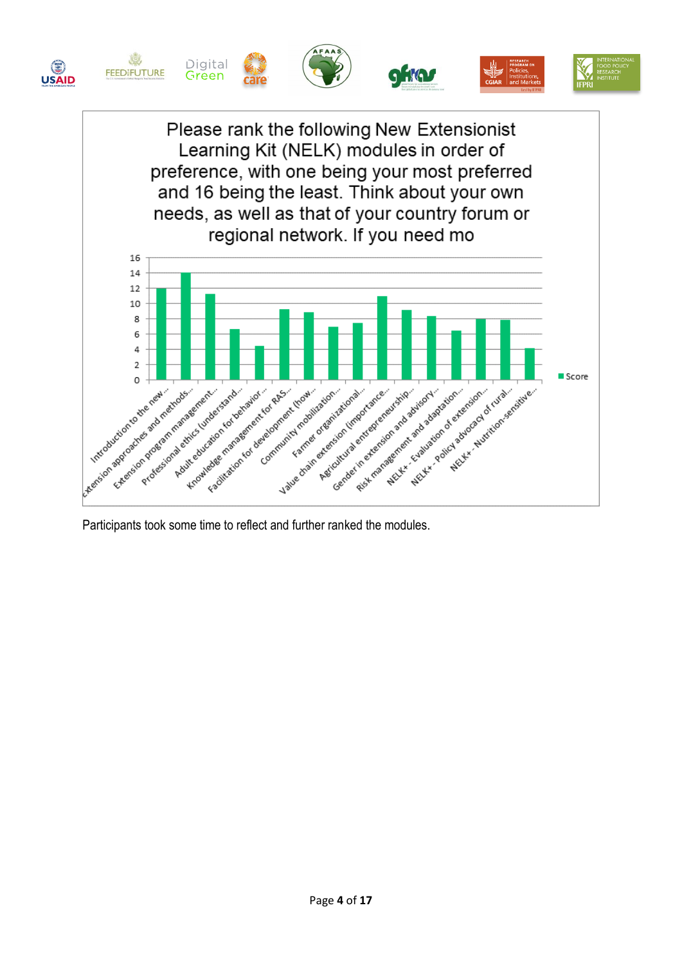



Participants took some time to reflect and further ranked the modules.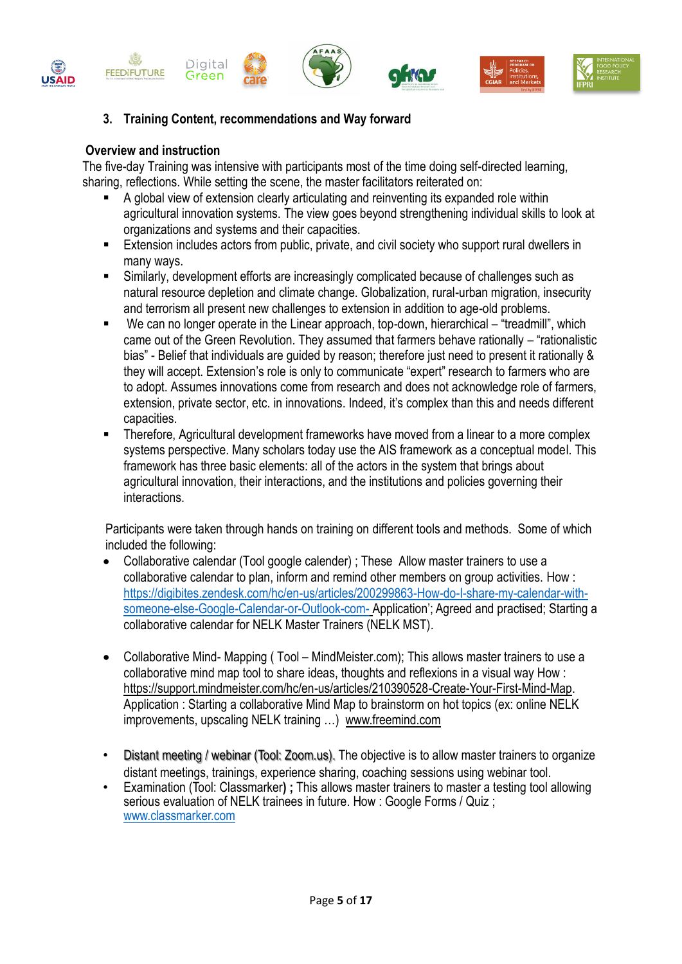



#### **Overview and instruction**

The five-day Training was intensive with participants most of the time doing self-directed learning, sharing, reflections. While setting the scene, the master facilitators reiterated on:

- A global view of extension clearly articulating and reinventing its expanded role within agricultural innovation systems. The view goes beyond strengthening individual skills to look at organizations and systems and their capacities.
- Extension includes actors from public, private, and civil society who support rural dwellers in many ways.
- Similarly, development efforts are increasingly complicated because of challenges such as natural resource depletion and climate change. Globalization, rural-urban migration, insecurity and terrorism all present new challenges to extension in addition to age-old problems.
- We can no longer operate in the Linear approach, top-down, hierarchical "treadmill", which came out of the Green Revolution. They assumed that farmers behave rationally – "rationalistic bias" - Belief that individuals are guided by reason; therefore just need to present it rationally & they will accept. Extension's role is only to communicate "expert" research to farmers who are to adopt. Assumes innovations come from research and does not acknowledge role of farmers, extension, private sector, etc. in innovations. Indeed, it's complex than this and needs different capacities.
- Therefore, Agricultural development frameworks have moved from a linear to a more complex systems perspective. Many scholars today use the AIS framework as a conceptual model. This framework has three basic elements: all of the actors in the system that brings about agricultural innovation, their interactions, and the institutions and policies governing their interactions.

Participants were taken through hands on training on different tools and methods. Some of which included the following:

- Collaborative calendar (Tool google calender) ; These Allow master trainers to use a collaborative calendar to plan, inform and remind other members on group activities. How : [https://digibites.zendesk.com/hc/en-us/articles/200299863-How-do-I-share-my-calendar-with](https://digibites.zendesk.com/hc/en-us/articles/200299863-How-do-I-share-my-calendar-with-someone-else-Google-Calendar-or-Outlook-com-)[someone-else-Google-Calendar-or-Outlook-com-](https://digibites.zendesk.com/hc/en-us/articles/200299863-How-do-I-share-my-calendar-with-someone-else-Google-Calendar-or-Outlook-com-) Application'; Agreed and practised; Starting a collaborative calendar for NELK Master Trainers (NELK MST).
- Collaborative Mind- Mapping ( Tool MindMeister.com); This allows master trainers to use a collaborative mind map tool to share ideas, thoughts and reflexions in a visual way How : [https://support.mindmeister.com/hc/en-us/articles/210390528-Create-Your-First-Mind-Map.](https://support.mindmeister.com/hc/en-us/articles/210390528-Create-Your-First-Mind-Map) Application : Starting a collaborative Mind Map to brainstorm on hot topics (ex: online NELK improvements, upscaling NELK training …) [www.freemind.com](http://www.freemind.com/)
- Distant meeting / webinar (Tool: Zoom.us). The objective is to allow master trainers to organize distant meetings, trainings, experience sharing, coaching sessions using webinar tool.
- Examination (Tool: Classmarker**) ;** This allows master trainers to master a testing tool allowing serious evaluation of NELK trainees in future. How : Google Forms / Quiz ; [www.classmarker.com](http://www.classmarker.com/)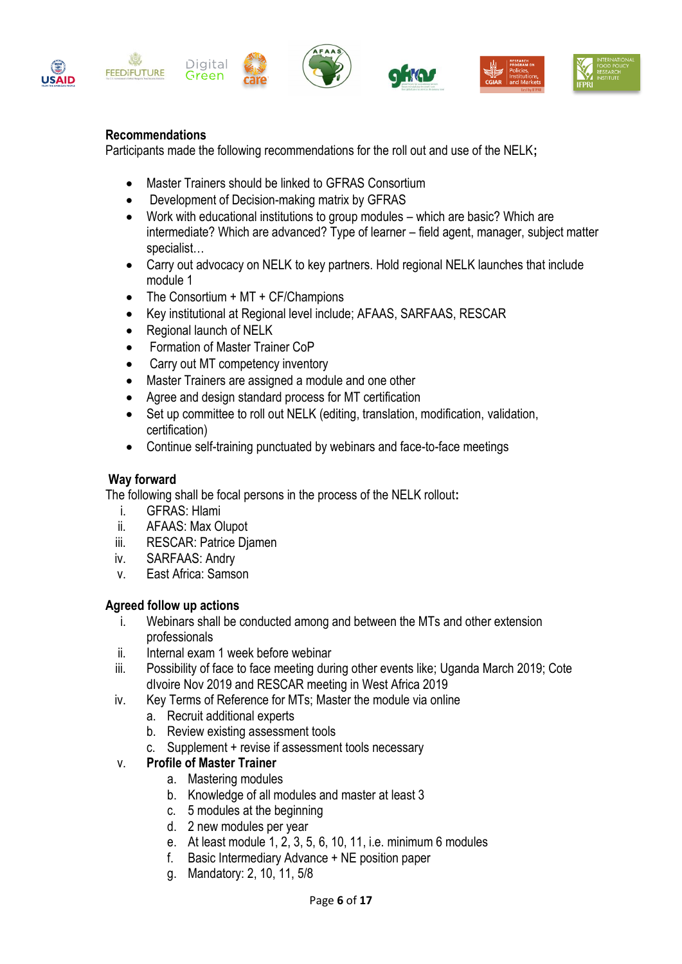

## **Recommendations**

Participants made the following recommendations for the roll out and use of the NELK**;**

- Master Trainers should be linked to GFRAS Consortium
- Development of Decision-making matrix by GFRAS
- Work with educational institutions to group modules which are basic? Which are intermediate? Which are advanced? Type of learner – field agent, manager, subject matter specialist…
- Carry out advocacy on NELK to key partners. Hold regional NELK launches that include module 1
- The Consortium + MT + CF/Champions
- Key institutional at Regional level include; AFAAS, SARFAAS, RESCAR
- Regional launch of NELK
- Formation of Master Trainer CoP
- Carry out MT competency inventory
- Master Trainers are assigned a module and one other
- Agree and design standard process for MT certification
- Set up committee to roll out NELK (editing, translation, modification, validation, certification)
- Continue self-training punctuated by webinars and face-to-face meetings

#### **Way forward**

The following shall be focal persons in the process of the NELK rollout**:** 

- i. GFRAS: Hlami
- ii. AFAAS: Max Olupot
- iii. RESCAR: Patrice Djamen
- iv. SARFAAS: Andry
- v. East Africa: Samson

#### **Agreed follow up actions**

- i. Webinars shall be conducted among and between the MTs and other extension professionals
- ii. Internal exam 1 week before webinar
- iii. Possibility of face to face meeting during other events like; Uganda March 2019; Cote dIvoire Nov 2019 and RESCAR meeting in West Africa 2019
- iv. Key Terms of Reference for MTs; Master the module via online
	- a. Recruit additional experts
	- b. Review existing assessment tools
	- Supplement + revise if assessment tools necessary

### v. **Profile of Master Trainer**

- a. Mastering modules
- b. Knowledge of all modules and master at least 3
- c. 5 modules at the beginning
- d. 2 new modules per year
- e. At least module 1, 2, 3, 5, 6, 10, 11, i.e. minimum 6 modules
- f. Basic Intermediary Advance + NE position paper
- g. Mandatory: 2, 10, 11, 5/8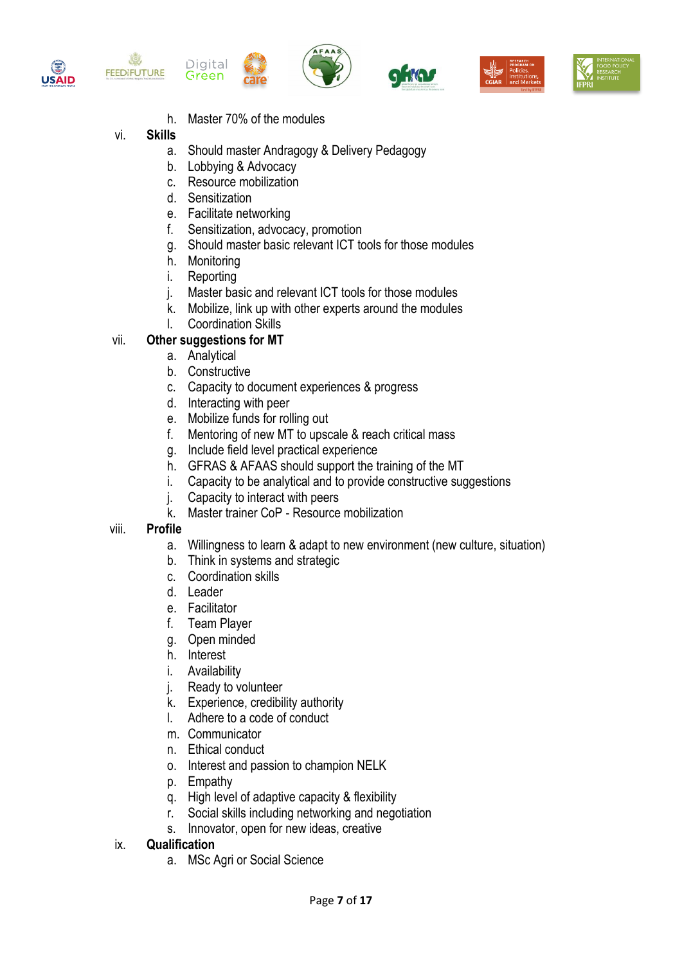











h. Master 70% of the modules

# vi. **Skills**

19

- a. Should master Andragogy & Delivery Pedagogy
- b. Lobbying & Advocacy
- c. Resource mobilization
- d. Sensitization
- e. Facilitate networking
- f. Sensitization, advocacy, promotion
- g. Should master basic relevant ICT tools for those modules
- h. Monitoring
- i. Reporting
- j. Master basic and relevant ICT tools for those modules
- k. Mobilize, link up with other experts around the modules
- l. Coordination Skills

# vii. **Other suggestions for MT**

- a. Analytical
	- b. Constructive
- c. Capacity to document experiences & progress
- d. Interacting with peer
- e. Mobilize funds for rolling out
- f. Mentoring of new MT to upscale & reach critical mass
- g. Include field level practical experience
- h. GFRAS & AFAAS should support the training of the MT
- i. Capacity to be analytical and to provide constructive suggestions
- j. Capacity to interact with peers
- k. Master trainer CoP Resource mobilization

# viii. **Profile**

- a. Willingness to learn & adapt to new environment (new culture, situation)
- b. Think in systems and strategic
- c. Coordination skills
- d. Leader
- e. Facilitator
- f. Team Player
- g. Open minded
- h. Interest
- i. Availability
- j. Ready to volunteer
- k. Experience, credibility authority
- l. Adhere to a code of conduct
- m. Communicator
- n. Ethical conduct
- o. Interest and passion to champion NELK
- p. Empathy
- q. High level of adaptive capacity & flexibility
- r. Social skills including networking and negotiation
- s. Innovator, open for new ideas, creative

### ix. **Qualification**

a. MSc Agri or Social Science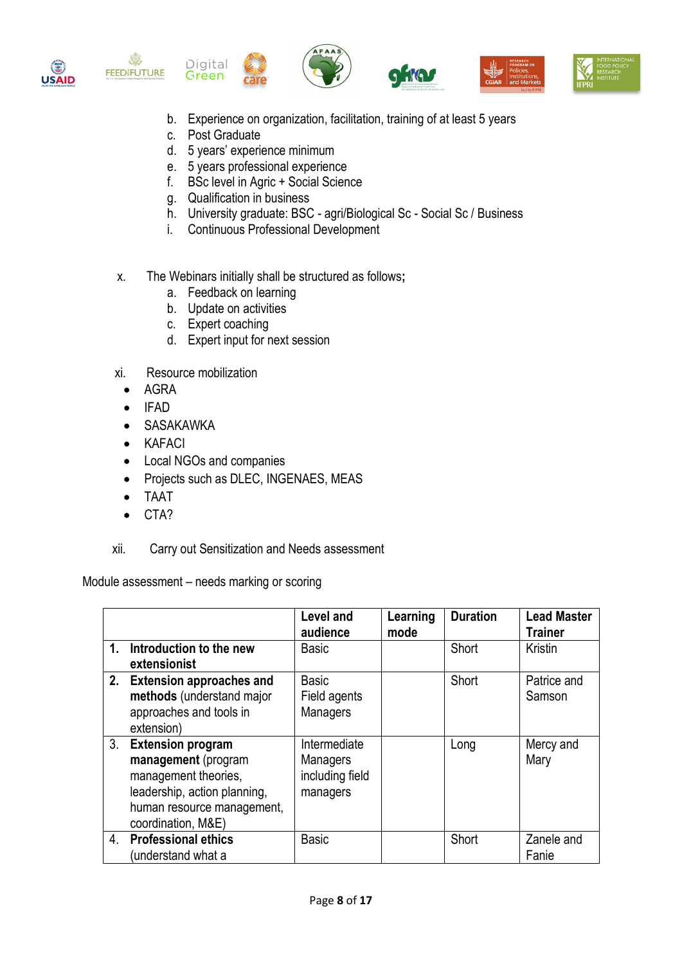



邀









- b. Experience on organization, facilitation, training of at least 5 years
- c. Post Graduate
- d. 5 years' experience minimum
- e. 5 years professional experience
- f. BSc level in Agric + Social Science
- g. Qualification in business
- h. University graduate: BSC agri/Biological Sc Social Sc / Business
- i. Continuous Professional Development
- x. The Webinars initially shall be structured as follows**;** 
	- a. Feedback on learning
	- b. Update on activities
	- c. Expert coaching
	- d. Expert input for next session
- xi. Resource mobilization
	- AGRA
	- IFAD
	- SASAKAWKA
	- KAFACI
	- Local NGOs and companies
	- Projects such as DLEC, INGENAES, MEAS
	- TAAT
	- CTA?
- xii. Carry out Sensitization and Needs assessment

Module assessment – needs marking or scoring

|    |                                                                                                                                                                                                                                            | <b>Level and</b><br>audience                                                                               | Learning<br>mode | <b>Duration</b> | <b>Lead Master</b><br><b>Trainer</b>       |
|----|--------------------------------------------------------------------------------------------------------------------------------------------------------------------------------------------------------------------------------------------|------------------------------------------------------------------------------------------------------------|------------------|-----------------|--------------------------------------------|
| 1. | Introduction to the new<br>extensionist                                                                                                                                                                                                    | <b>Basic</b>                                                                                               |                  | Short           | Kristin                                    |
| 3. | 2. Extension approaches and<br>methods (understand major<br>approaches and tools in<br>extension)<br><b>Extension program</b><br>management (program<br>management theories,<br>leadership, action planning,<br>human resource management, | <b>Basic</b><br>Field agents<br>Managers<br>Intermediate<br><b>Managers</b><br>including field<br>managers |                  | Short<br>Long   | Patrice and<br>Samson<br>Mercy and<br>Mary |
| 4. | coordination, M&E)<br><b>Professional ethics</b><br>(understand what a                                                                                                                                                                     | <b>Basic</b>                                                                                               |                  | Short           | Zanele and<br>Fanie                        |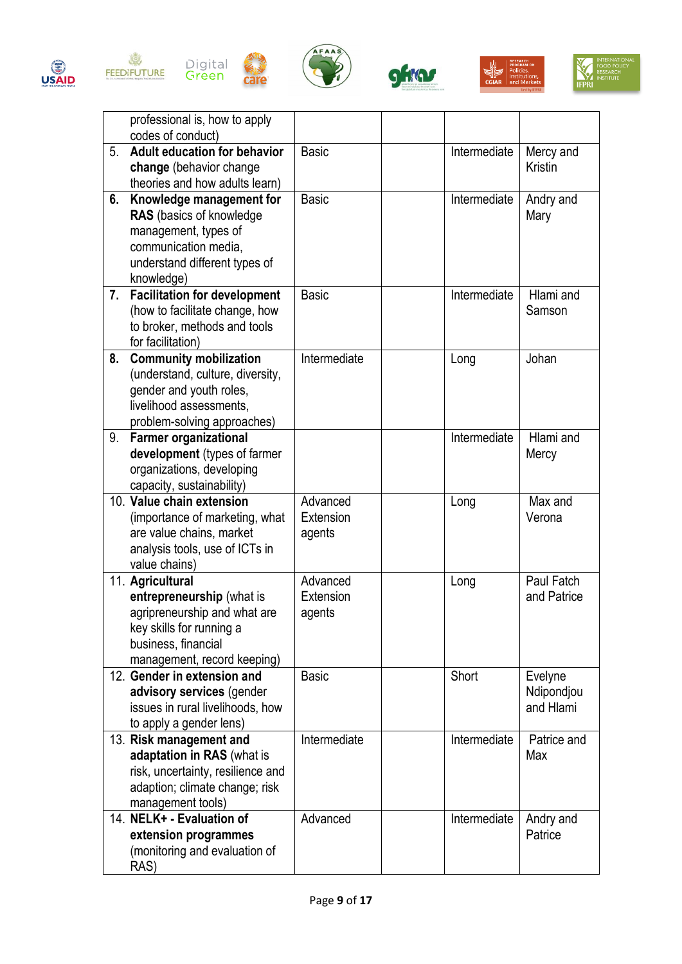













|    | professional is, how to apply<br>codes of conduct)                                                                                                              |                                 |              |                                    |
|----|-----------------------------------------------------------------------------------------------------------------------------------------------------------------|---------------------------------|--------------|------------------------------------|
| 5. | <b>Adult education for behavior</b><br>change (behavior change<br>theories and how adults learn)                                                                | <b>Basic</b>                    | Intermediate | Mercy and<br><b>Kristin</b>        |
| 6. | Knowledge management for<br><b>RAS</b> (basics of knowledge)<br>management, types of<br>communication media.<br>understand different types of<br>knowledge)     | <b>Basic</b>                    | Intermediate | Andry and<br>Mary                  |
| 7. | <b>Facilitation for development</b><br>(how to facilitate change, how<br>to broker, methods and tools<br>for facilitation)                                      | <b>Basic</b>                    | Intermediate | Hlami and<br>Samson                |
| 8. | <b>Community mobilization</b><br>(understand, culture, diversity,<br>gender and youth roles,<br>livelihood assessments,<br>problem-solving approaches)          | Intermediate                    | Long         | Johan                              |
| 9. | <b>Farmer organizational</b><br>development (types of farmer<br>organizations, developing<br>capacity, sustainability)                                          |                                 | Intermediate | Hlami and<br>Mercy                 |
|    | 10. Value chain extension<br>(importance of marketing, what<br>are value chains, market<br>analysis tools, use of ICTs in<br>value chains)                      | Advanced<br>Extension<br>agents | Long         | Max and<br>Verona                  |
|    | 11. Agricultural<br>entrepreneurship (what is<br>agripreneurship and what are<br>key skills for running a<br>business, financial<br>management, record keeping) | Advanced<br>Extension<br>agents | Long         | Paul Fatch<br>and Patrice          |
|    | 12. Gender in extension and<br>advisory services (gender<br>issues in rural livelihoods, how<br>to apply a gender lens)                                         | <b>Basic</b>                    | Short        | Evelyne<br>Ndipondjou<br>and Hlami |
|    | 13. Risk management and<br>adaptation in RAS (what is<br>risk, uncertainty, resilience and<br>adaption; climate change; risk<br>management tools)               | Intermediate                    | Intermediate | Patrice and<br>Max                 |
|    | 14. NELK+ - Evaluation of<br>extension programmes<br>(monitoring and evaluation of<br>RAS)                                                                      | Advanced                        | Intermediate | Andry and<br>Patrice               |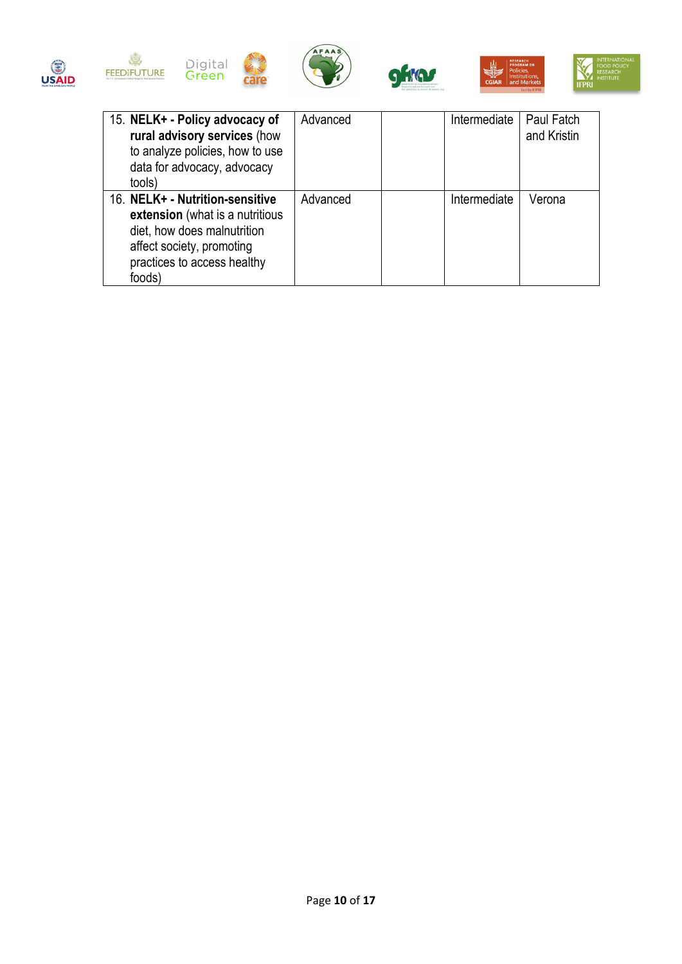





care







| 15. NELK+ - Policy advocacy of<br>rural advisory services (how<br>to analyze policies, how to use<br>data for advocacy, advocacy<br>tools)                              | Advanced | Intermediate | Paul Fatch<br>and Kristin |
|-------------------------------------------------------------------------------------------------------------------------------------------------------------------------|----------|--------------|---------------------------|
| 16. NELK+ - Nutrition-sensitive<br>extension (what is a nutritious<br>diet, how does malnutrition<br>affect society, promoting<br>practices to access healthy<br>foods) | Advanced | Intermediate | Verona                    |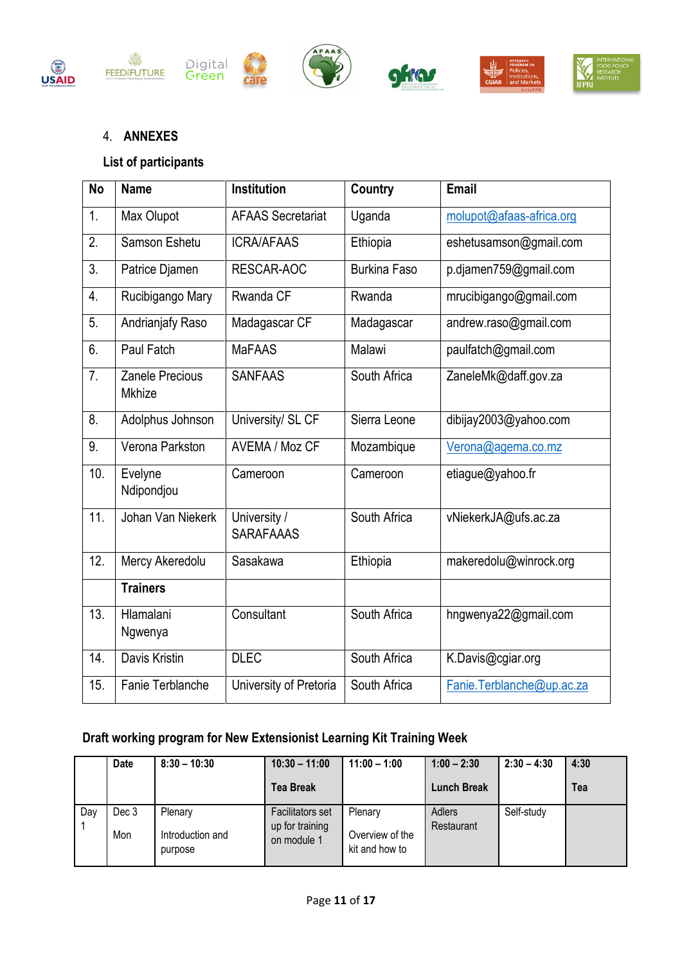











# 4. **ANNEXES**

# **List of participants**

| <b>No</b>        | <b>Name</b>                             | Institution                      | <b>Country</b>      | Email                     |
|------------------|-----------------------------------------|----------------------------------|---------------------|---------------------------|
| 1.               | Max Olupot                              | <b>AFAAS Secretariat</b>         | Uganda              | molupot@afaas-africa.org  |
| 2.               | Samson Eshetu                           | <b>ICRA/AFAAS</b>                | Ethiopia            | eshetusamson@gmail.com    |
| $\overline{3}$ . | Patrice Djamen                          | RESCAR-AOC                       | <b>Burkina Faso</b> | p.djamen759@gmail.com     |
| 4.               | Rucibigango Mary                        | Rwanda CF                        | Rwanda              | mrucibigango@gmail.com    |
| 5.               | Andrianjafy Raso                        | Madagascar CF                    | Madagascar          | andrew.raso@gmail.com     |
| 6.               | Paul Fatch                              | <b>MaFAAS</b>                    | Malawi              | paulfatch@gmail.com       |
| 7.               | <b>Zanele Precious</b><br><b>Mkhize</b> | <b>SANFAAS</b>                   | South Africa        | ZaneleMk@daff.gov.za      |
| 8.               | Adolphus Johnson                        | University/ SL CF                | Sierra Leone        | dibijay2003@yahoo.com     |
| 9.               | Verona Parkston                         | AVEMA / Moz CF                   | Mozambique          | Verona@agema.co.mz        |
| 10.              | Evelyne<br>Ndipondjou                   | Cameroon                         | Cameroon            | etiague@yahoo.fr          |
| 11.              | Johan Van Niekerk                       | University /<br><b>SARAFAAAS</b> | South Africa        | vNiekerkJA@ufs.ac.za      |
| 12.              | Mercy Akeredolu                         | Sasakawa                         | Ethiopia            | makeredolu@winrock.org    |
|                  | <b>Trainers</b>                         |                                  |                     |                           |
| 13.              | Hlamalani<br>Ngwenya                    | Consultant                       | South Africa        | hngwenya22@gmail.com      |
| 14.              | Davis Kristin                           | <b>DLEC</b>                      | South Africa        | K.Davis@cgiar.org         |
| 15.              | Fanie Terblanche                        | University of Pretoria           | South Africa        | Fanie.Terblanche@up.ac.za |

# **Draft working program for New Extensionist Learning Kit Training Week**

|     | <b>Date</b>  | $8:30 - 10:30$                         | $10:30 - 11:00$                                           | $11:00 - 1:00$                               | $1:00 - 2:30$        | $2:30 - 4:30$ | 4:30 |
|-----|--------------|----------------------------------------|-----------------------------------------------------------|----------------------------------------------|----------------------|---------------|------|
|     |              |                                        | <b>Tea Break</b>                                          |                                              | <b>Lunch Break</b>   |               | Tea  |
| Day | Dec 3<br>Mon | Plenary<br>Introduction and<br>purpose | <b>Facilitators set</b><br>up for training<br>on module 1 | Plenary<br>Overview of the<br>kit and how to | Adlers<br>Restaurant | Self-study    |      |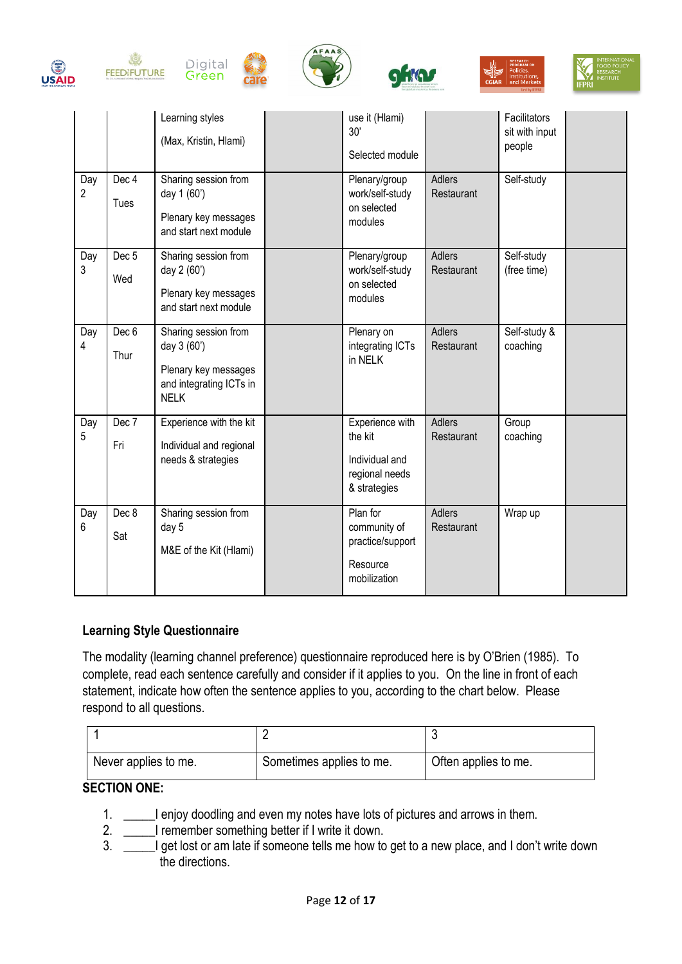











|          |                         | Learning styles<br>(Max, Kristin, Hlami)                                                              | use it (Hlami)<br>30'<br>Selected module                                       |                             | Facilitators<br>sit with input<br>people |  |
|----------|-------------------------|-------------------------------------------------------------------------------------------------------|--------------------------------------------------------------------------------|-----------------------------|------------------------------------------|--|
| Day<br>2 | Dec 4<br>Tues           | Sharing session from<br>day 1 (60')<br>Plenary key messages<br>and start next module                  | Plenary/group<br>work/self-study<br>on selected<br>modules                     | <b>Adlers</b><br>Restaurant | Self-study                               |  |
| Day<br>3 | Dec <sub>5</sub><br>Wed | Sharing session from<br>day 2 (60')<br>Plenary key messages<br>and start next module                  | Plenary/group<br>work/self-study<br>on selected<br>modules                     | <b>Adlers</b><br>Restaurant | Self-study<br>(free time)                |  |
| Day<br>4 | Dec 6<br>Thur           | Sharing session from<br>day 3 (60')<br>Plenary key messages<br>and integrating ICTs in<br><b>NELK</b> | Plenary on<br>integrating ICTs<br>in NELK                                      | Adlers<br>Restaurant        | Self-study &<br>coaching                 |  |
| Day<br>5 | Dec 7<br>Fri            | Experience with the kit<br>Individual and regional<br>needs & strategies                              | Experience with<br>the kit<br>Individual and<br>regional needs<br>& strategies | <b>Adlers</b><br>Restaurant | Group<br>coaching                        |  |
| Day<br>6 | Dec 8<br>Sat            | Sharing session from<br>day 5<br>M&E of the Kit (Hlami)                                               | Plan for<br>community of<br>practice/support<br>Resource<br>mobilization       | Adlers<br>Restaurant        | Wrap up                                  |  |

### **Learning Style Questionnaire**

The modality (learning channel preference) questionnaire reproduced here is by O'Brien (1985). To complete, read each sentence carefully and consider if it applies to you. On the line in front of each statement, indicate how often the sentence applies to you, according to the chart below. Please respond to all questions.

| Never applies to me. | Sometimes applies to me. | Often applies to me. |
|----------------------|--------------------------|----------------------|

### **SECTION ONE:**

- 1. \_\_\_\_\_I enjoy doodling and even my notes have lots of pictures and arrows in them.
- 2. \_\_\_\_\_I remember something better if I write it down.
- 3. \_\_\_\_\_I get lost or am late if someone tells me how to get to a new place, and I don't write down the directions.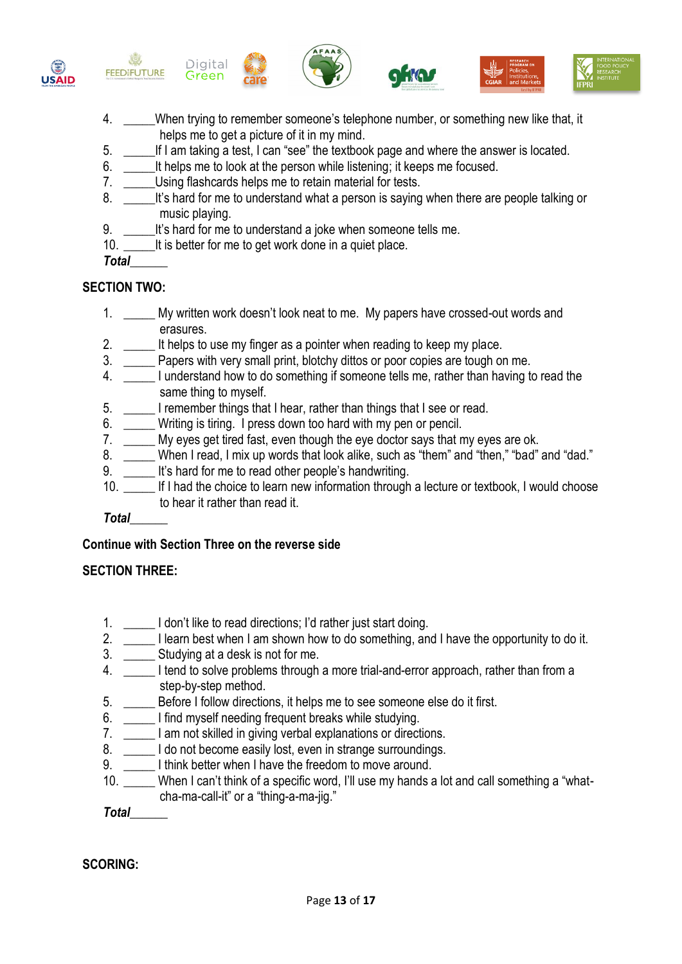

- 4. \_\_\_\_\_When trying to remember someone's telephone number, or something new like that, it helps me to get a picture of it in my mind.
- 5. \_\_\_\_\_If I am taking a test, I can "see" the textbook page and where the answer is located.
- 6. It helps me to look at the person while listening; it keeps me focused.
- 7. Using flashcards helps me to retain material for tests.
- 8. It's hard for me to understand what a person is saying when there are people talking or music playing.
- 9. \_\_\_\_\_It's hard for me to understand a joke when someone tells me.
- 10. It is better for me to get work done in a quiet place.
- *Total*\_\_\_\_\_\_

## **SECTION TWO:**

- 1. \_\_\_\_\_ My written work doesn't look neat to me. My papers have crossed-out words and erasures.
- 2. It helps to use my finger as a pointer when reading to keep my place.
- 3. \_\_\_\_\_ Papers with very small print, blotchy dittos or poor copies are tough on me.
- 4. \_\_\_\_\_ I understand how to do something if someone tells me, rather than having to read the same thing to myself.
- 5. \_\_\_\_\_ I remember things that I hear, rather than things that I see or read.
- 6. \_\_\_\_\_ Writing is tiring. I press down too hard with my pen or pencil.
- 7. My eyes get tired fast, even though the eye doctor says that my eyes are ok.
- 8. When I read, I mix up words that look alike, such as "them" and "then," "bad" and "dad."
- 9. It's hard for me to read other people's handwriting.
- 10. \_\_\_\_\_ If I had the choice to learn new information through a lecture or textbook, I would choose to hear it rather than read it.

### *Total\_\_\_\_\_\_*

### **Continue with Section Three on the reverse side**

### **SECTION THREE:**

- 1. \_\_\_\_\_ I don't like to read directions; I'd rather just start doing.
- 2. \_\_\_\_\_ I learn best when I am shown how to do something, and I have the opportunity to do it.
- 3. \_\_\_\_\_\_ Studying at a desk is not for me.
- 4. \_\_\_\_\_ I tend to solve problems through a more trial-and-error approach, rather than from a step-by-step method.
- 5. \_\_\_\_\_ Before I follow directions, it helps me to see someone else do it first.
- 6. \_\_\_\_\_ I find myself needing frequent breaks while studying.
- 7. \_\_\_\_\_ I am not skilled in giving verbal explanations or directions.
- 8. \_\_\_\_\_\_ I do not become easily lost, even in strange surroundings.
- 9. \_\_\_\_\_\_\_ I think better when I have the freedom to move around.
- 10. \_\_\_\_\_ When I can't think of a specific word, I'll use my hands a lot and call something a "whatcha-ma-call-it" or a "thing-a-ma-jig."

*Total\_\_\_\_\_\_*

# **SCORING:**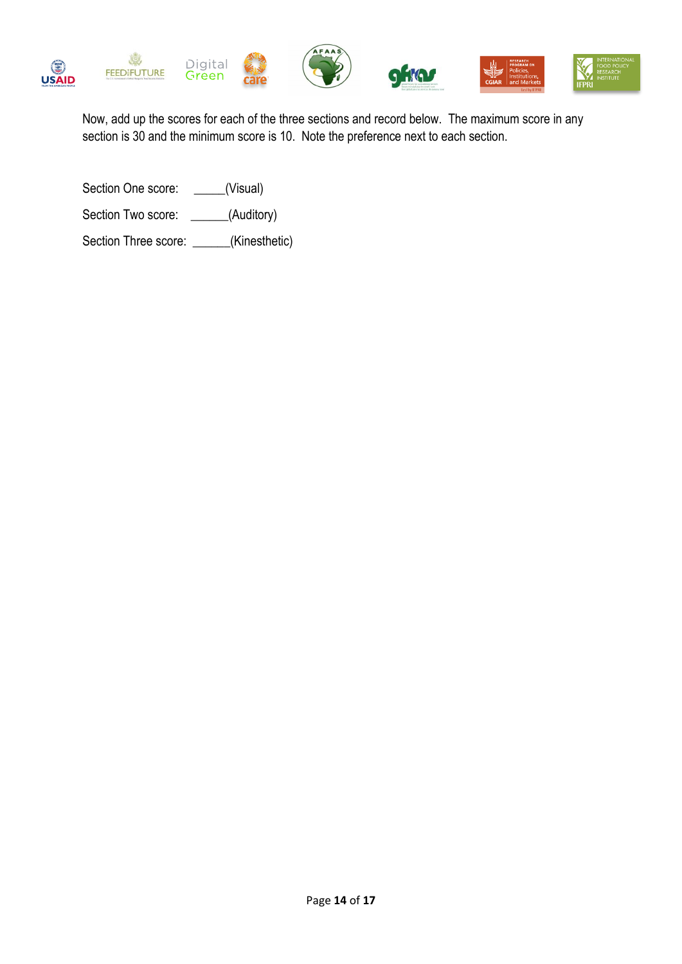

Now, add up the scores for each of the three sections and record below. The maximum score in any section is 30 and the minimum score is 10. Note the preference next to each section.

Section One score: \_\_\_\_\_(Visual) Section Two score: \_\_\_\_\_\_(Auditory) Section Three score: \_\_\_\_\_\_(Kinesthetic)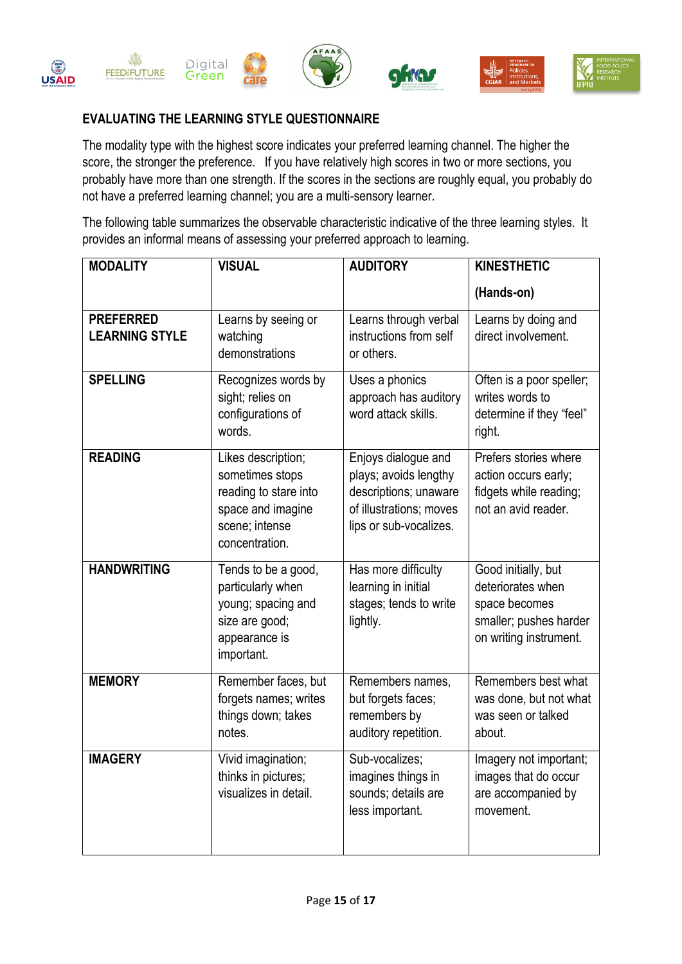

## **EVALUATING THE LEARNING STYLE QUESTIONNAIRE**

The modality type with the highest score indicates your preferred learning channel. The higher the score, the stronger the preference. If you have relatively high scores in two or more sections, you probably have more than one strength. If the scores in the sections are roughly equal, you probably do not have a preferred learning channel; you are a multi-sensory learner.

The following table summarizes the observable characteristic indicative of the three learning styles. It provides an informal means of assessing your preferred approach to learning.

| <b>MODALITY</b>                           | <b>VISUAL</b>                                                                                                           | <b>AUDITORY</b>                                                                                                            | <b>KINESTHETIC</b>                                                                                            |
|-------------------------------------------|-------------------------------------------------------------------------------------------------------------------------|----------------------------------------------------------------------------------------------------------------------------|---------------------------------------------------------------------------------------------------------------|
|                                           |                                                                                                                         |                                                                                                                            | (Hands-on)                                                                                                    |
| <b>PREFERRED</b><br><b>LEARNING STYLE</b> | Learns by seeing or<br>watching<br>demonstrations                                                                       | Learns through verbal<br>instructions from self<br>or others.                                                              | Learns by doing and<br>direct involvement.                                                                    |
| <b>SPELLING</b>                           | Recognizes words by<br>sight; relies on<br>configurations of<br>words.                                                  | Uses a phonics<br>approach has auditory<br>word attack skills.                                                             | Often is a poor speller;<br>writes words to<br>determine if they "feel"<br>right.                             |
| <b>READING</b>                            | Likes description;<br>sometimes stops<br>reading to stare into<br>space and imagine<br>scene; intense<br>concentration. | Enjoys dialogue and<br>plays; avoids lengthy<br>descriptions; unaware<br>of illustrations; moves<br>lips or sub-vocalizes. | Prefers stories where<br>action occurs early;<br>fidgets while reading;<br>not an avid reader.                |
| <b>HANDWRITING</b>                        | Tends to be a good,<br>particularly when<br>young; spacing and<br>size are good;<br>appearance is<br>important.         | Has more difficulty<br>learning in initial<br>stages; tends to write<br>lightly.                                           | Good initially, but<br>deteriorates when<br>space becomes<br>smaller; pushes harder<br>on writing instrument. |
| <b>MEMORY</b>                             | Remember faces, but<br>forgets names; writes<br>things down; takes<br>notes.                                            | Remembers names,<br>but forgets faces;<br>remembers by<br>auditory repetition.                                             | Remembers best what<br>was done, but not what<br>was seen or talked<br>about.                                 |
| <b>IMAGERY</b>                            | Vivid imagination;<br>thinks in pictures;<br>visualizes in detail.                                                      | Sub-vocalizes;<br>imagines things in<br>sounds; details are<br>less important.                                             | Imagery not important;<br>images that do occur<br>are accompanied by<br>movement.                             |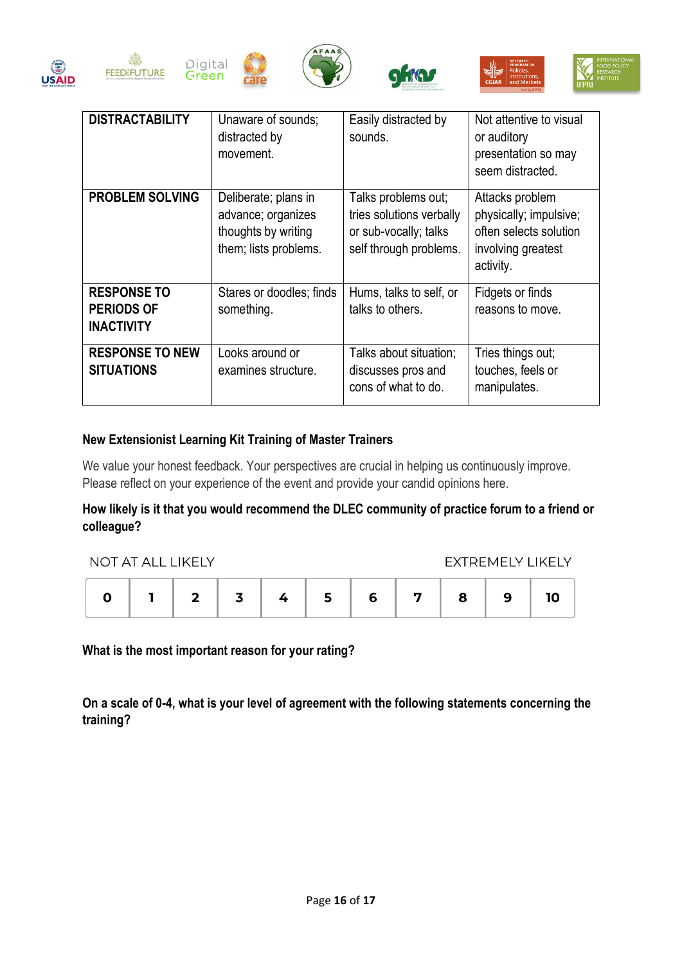













| <b>DISTRACTABILITY</b>                                       | Unaware of sounds;<br>distracted by<br>movement.                                           | Easily distracted by<br>sounds.                                                                    | Not attentive to visual<br>or auditory<br>presentation so may<br>seem distracted.                      |
|--------------------------------------------------------------|--------------------------------------------------------------------------------------------|----------------------------------------------------------------------------------------------------|--------------------------------------------------------------------------------------------------------|
| <b>PROBLEM SOLVING</b>                                       | Deliberate; plans in<br>advance; organizes<br>thoughts by writing<br>them; lists problems. | Talks problems out;<br>tries solutions verbally<br>or sub-vocally; talks<br>self through problems. | Attacks problem<br>physically; impulsive;<br>often selects solution<br>involving greatest<br>activity. |
| <b>RESPONSE TO</b><br><b>PERIODS OF</b><br><b>INACTIVITY</b> | Stares or doodles; finds<br>something.                                                     | Hums, talks to self, or<br>talks to others.                                                        | Fidgets or finds<br>reasons to move.                                                                   |
| <b>RESPONSE TO NEW</b><br><b>SITUATIONS</b>                  | Looks around or<br>examines structure.                                                     | Talks about situation;<br>discusses pros and<br>cons of what to do.                                | Tries things out;<br>touches, feels or<br>manipulates.                                                 |

## **New Extensionist Learning Kit Training of Master Trainers**

We value your honest feedback. Your perspectives are crucial in helping us continuously improve. Please reflect on your experience of the event and provide your candid opinions here.

## **How likely is it that you would recommend the DLEC community of practice forum to a friend or colleague?**

| NOT AT ALL LIKELY |  |  |  |  |  |   |   | EXTREMELY LIKELY |  |
|-------------------|--|--|--|--|--|---|---|------------------|--|
|                   |  |  |  |  |  | 6 | 7 | 9                |  |

**What is the most important reason for your rating?** 

**On a scale of 0-4, what is your level of agreement with the following statements concerning the training?**